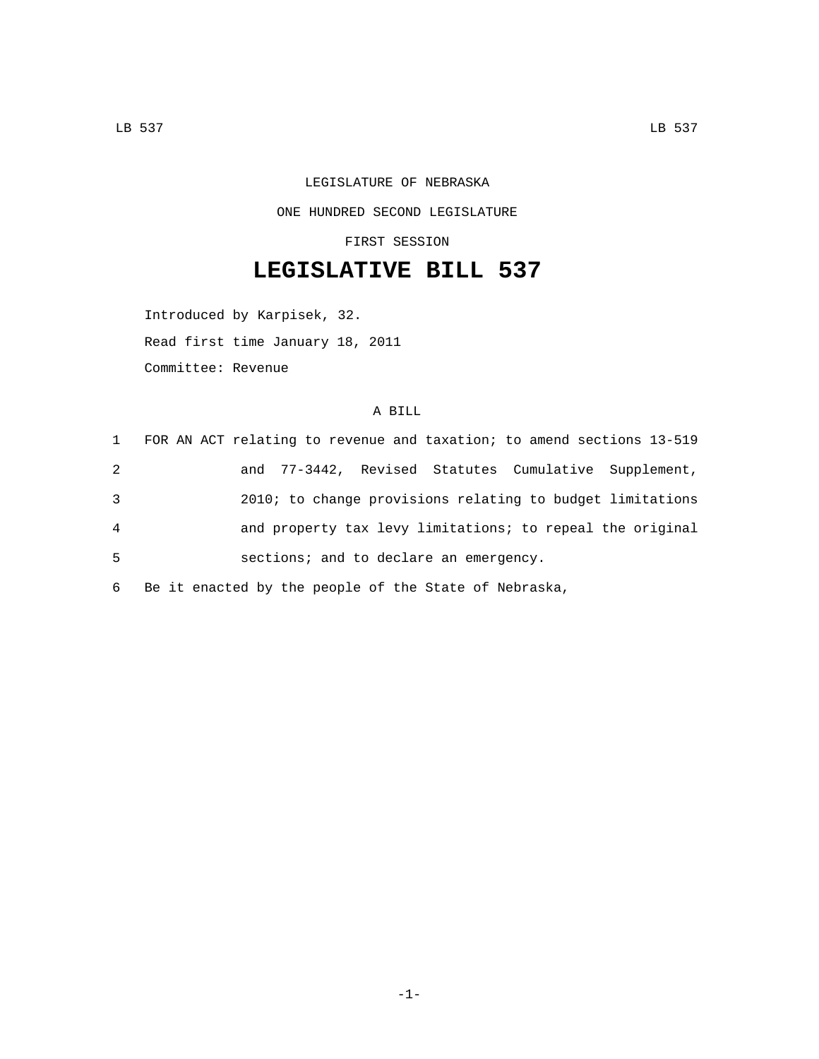## LEGISLATURE OF NEBRASKA ONE HUNDRED SECOND LEGISLATURE

FIRST SESSION

## **LEGISLATIVE BILL 537**

Introduced by Karpisek, 32.

Read first time January 18, 2011

Committee: Revenue

## A BILL

| $\mathbf{1}$ | FOR AN ACT relating to revenue and taxation; to amend sections 13-519 |  |  |
|--------------|-----------------------------------------------------------------------|--|--|
| 2            | and 77-3442, Revised Statutes Cumulative Supplement,                  |  |  |
| 3            | 2010; to change provisions relating to budget limitations             |  |  |
| 4            | and property tax levy limitations; to repeal the original             |  |  |
| 5            | sections; and to declare an emergency.                                |  |  |
|              |                                                                       |  |  |

6 Be it enacted by the people of the State of Nebraska,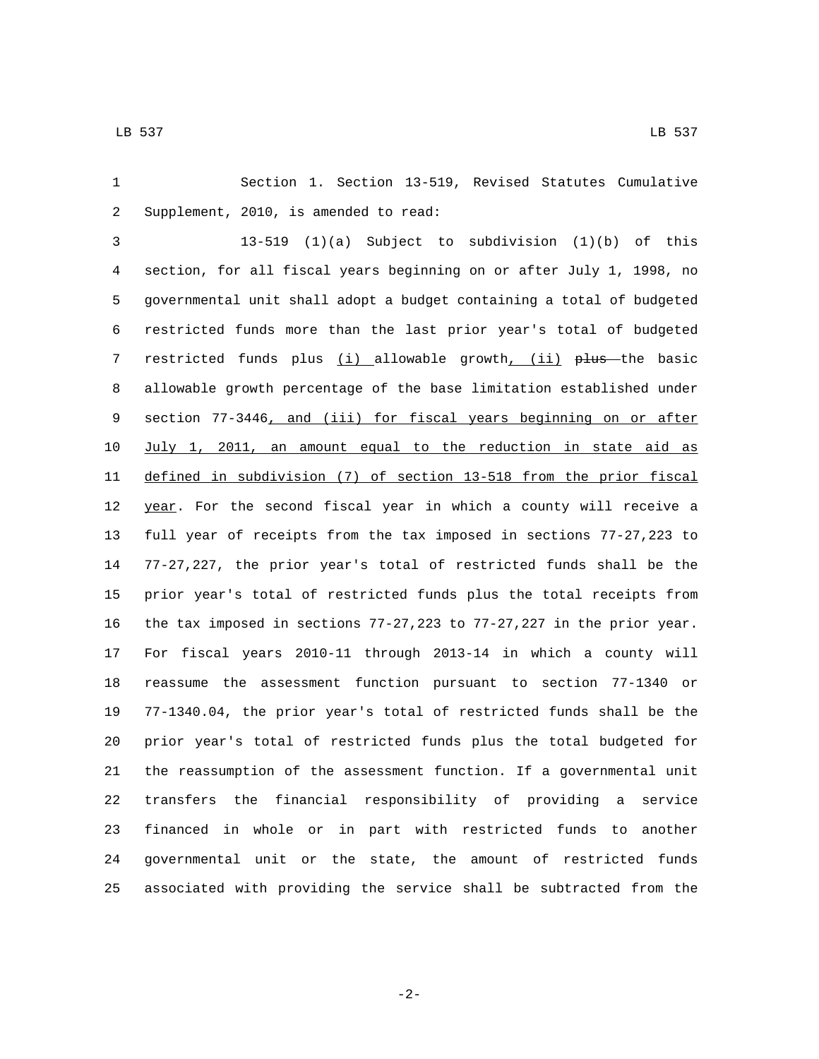Section 1. Section 13-519, Revised Statutes Cumulative 2 Supplement, 2010, is amended to read:

 13-519 (1)(a) Subject to subdivision (1)(b) of this section, for all fiscal years beginning on or after July 1, 1998, no governmental unit shall adopt a budget containing a total of budgeted restricted funds more than the last prior year's total of budgeted 7 restricted funds plus (i) allowable growth, (ii) plus the basic allowable growth percentage of the base limitation established under section 77-3446, and (iii) for fiscal years beginning on or after July 1, 2011, an amount equal to the reduction in state aid as defined in subdivision (7) of section 13-518 from the prior fiscal 12 year. For the second fiscal year in which a county will receive a full year of receipts from the tax imposed in sections 77-27,223 to 77-27,227, the prior year's total of restricted funds shall be the prior year's total of restricted funds plus the total receipts from the tax imposed in sections 77-27,223 to 77-27,227 in the prior year. For fiscal years 2010-11 through 2013-14 in which a county will reassume the assessment function pursuant to section 77-1340 or 77-1340.04, the prior year's total of restricted funds shall be the prior year's total of restricted funds plus the total budgeted for the reassumption of the assessment function. If a governmental unit transfers the financial responsibility of providing a service financed in whole or in part with restricted funds to another governmental unit or the state, the amount of restricted funds associated with providing the service shall be subtracted from the

-2-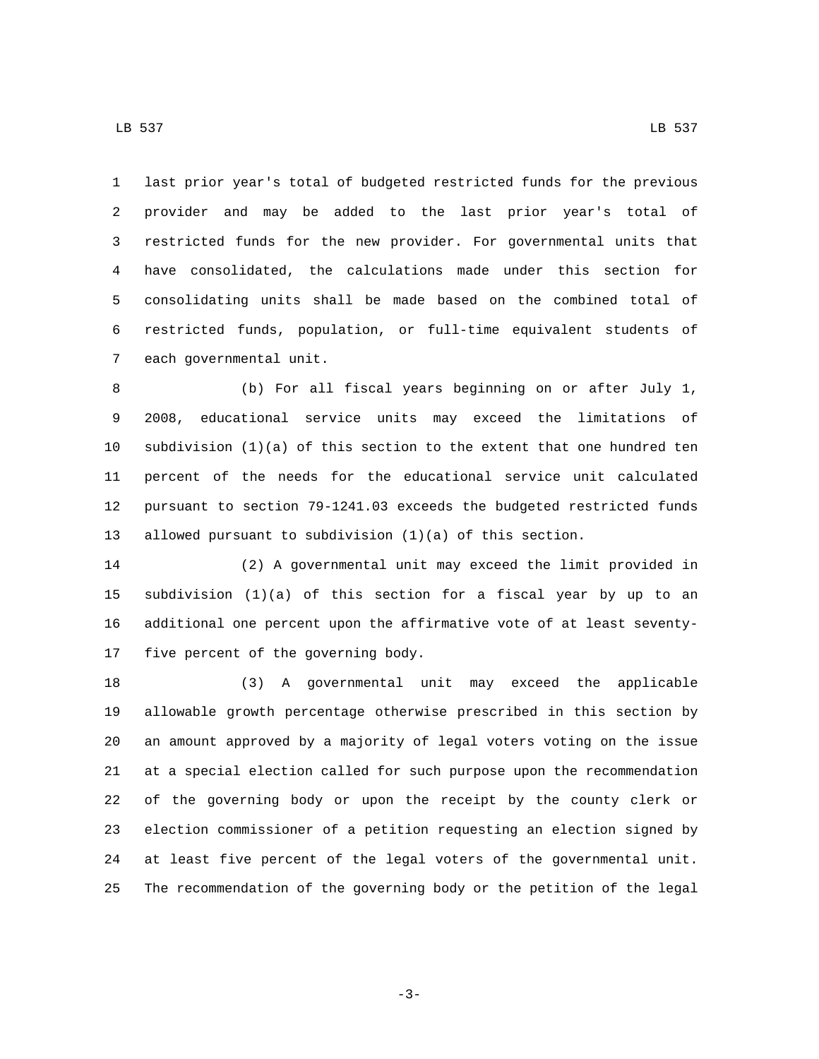7 each governmental unit.

 last prior year's total of budgeted restricted funds for the previous provider and may be added to the last prior year's total of restricted funds for the new provider. For governmental units that have consolidated, the calculations made under this section for consolidating units shall be made based on the combined total of restricted funds, population, or full-time equivalent students of

 (b) For all fiscal years beginning on or after July 1, 2008, educational service units may exceed the limitations of subdivision (1)(a) of this section to the extent that one hundred ten percent of the needs for the educational service unit calculated pursuant to section 79-1241.03 exceeds the budgeted restricted funds allowed pursuant to subdivision (1)(a) of this section.

 (2) A governmental unit may exceed the limit provided in subdivision (1)(a) of this section for a fiscal year by up to an additional one percent upon the affirmative vote of at least seventy-17 five percent of the governing body.

 (3) A governmental unit may exceed the applicable allowable growth percentage otherwise prescribed in this section by an amount approved by a majority of legal voters voting on the issue at a special election called for such purpose upon the recommendation of the governing body or upon the receipt by the county clerk or election commissioner of a petition requesting an election signed by at least five percent of the legal voters of the governmental unit. The recommendation of the governing body or the petition of the legal

-3-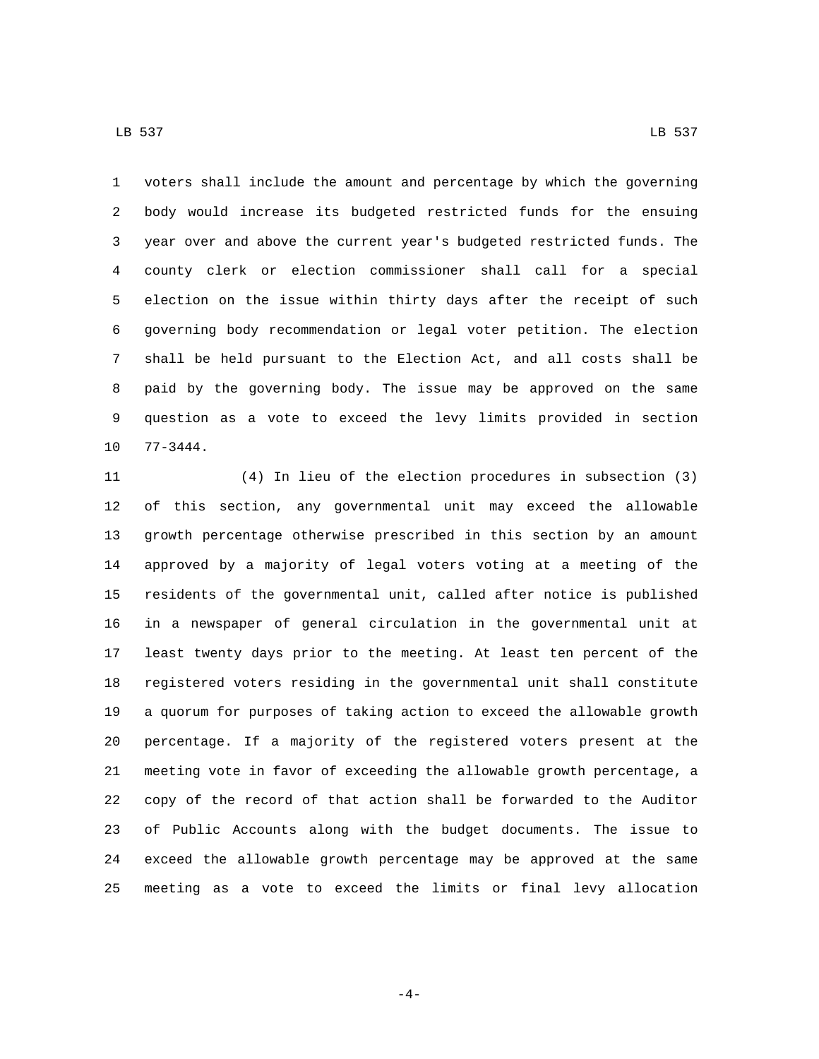LB 537 LB 537

 voters shall include the amount and percentage by which the governing body would increase its budgeted restricted funds for the ensuing year over and above the current year's budgeted restricted funds. The county clerk or election commissioner shall call for a special election on the issue within thirty days after the receipt of such governing body recommendation or legal voter petition. The election shall be held pursuant to the Election Act, and all costs shall be paid by the governing body. The issue may be approved on the same question as a vote to exceed the levy limits provided in section 10 77-3444.

 (4) In lieu of the election procedures in subsection (3) of this section, any governmental unit may exceed the allowable growth percentage otherwise prescribed in this section by an amount approved by a majority of legal voters voting at a meeting of the residents of the governmental unit, called after notice is published in a newspaper of general circulation in the governmental unit at least twenty days prior to the meeting. At least ten percent of the registered voters residing in the governmental unit shall constitute a quorum for purposes of taking action to exceed the allowable growth percentage. If a majority of the registered voters present at the meeting vote in favor of exceeding the allowable growth percentage, a copy of the record of that action shall be forwarded to the Auditor of Public Accounts along with the budget documents. The issue to exceed the allowable growth percentage may be approved at the same meeting as a vote to exceed the limits or final levy allocation

-4-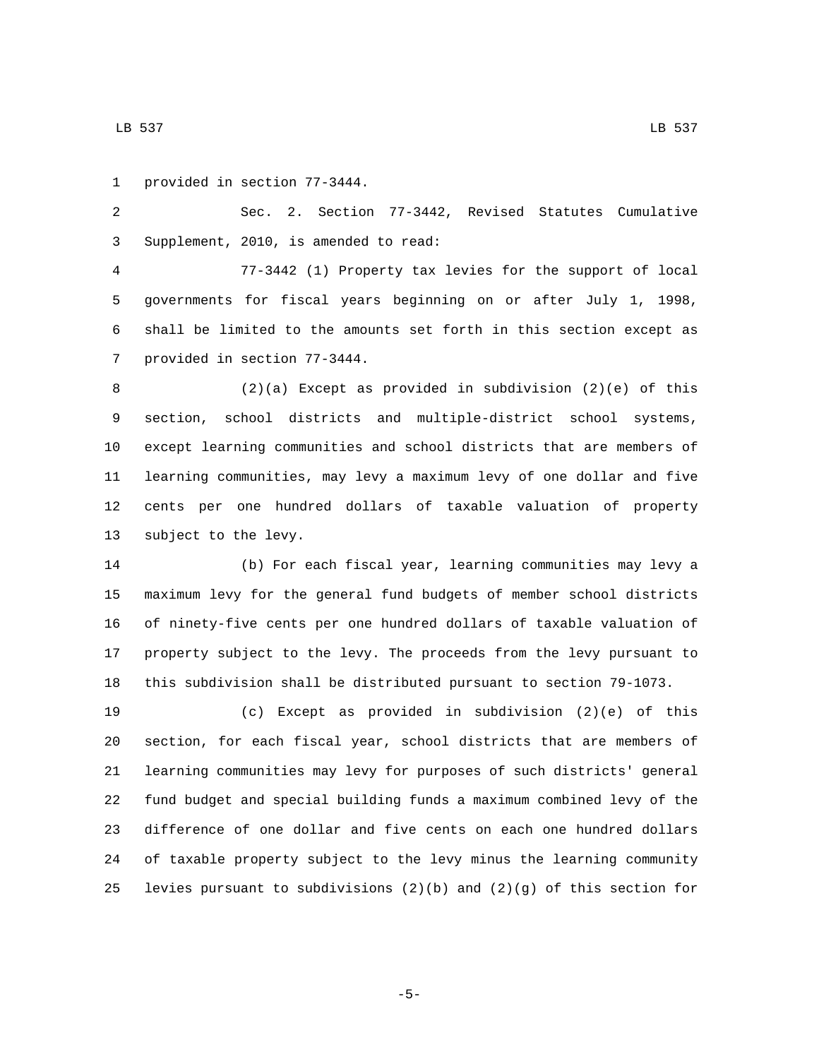1 provided in section 77-3444.

 Sec. 2. Section 77-3442, Revised Statutes Cumulative Supplement, 2010, is amended to read:3

 77-3442 (1) Property tax levies for the support of local governments for fiscal years beginning on or after July 1, 1998, shall be limited to the amounts set forth in this section except as 7 provided in section 77-3444.

 (2)(a) Except as provided in subdivision (2)(e) of this section, school districts and multiple-district school systems, except learning communities and school districts that are members of learning communities, may levy a maximum levy of one dollar and five cents per one hundred dollars of taxable valuation of property 13 subject to the levy.

 (b) For each fiscal year, learning communities may levy a maximum levy for the general fund budgets of member school districts of ninety-five cents per one hundred dollars of taxable valuation of property subject to the levy. The proceeds from the levy pursuant to this subdivision shall be distributed pursuant to section 79-1073.

 (c) Except as provided in subdivision (2)(e) of this section, for each fiscal year, school districts that are members of learning communities may levy for purposes of such districts' general fund budget and special building funds a maximum combined levy of the difference of one dollar and five cents on each one hundred dollars of taxable property subject to the levy minus the learning community 25 levies pursuant to subdivisions  $(2)(b)$  and  $(2)(g)$  of this section for

-5-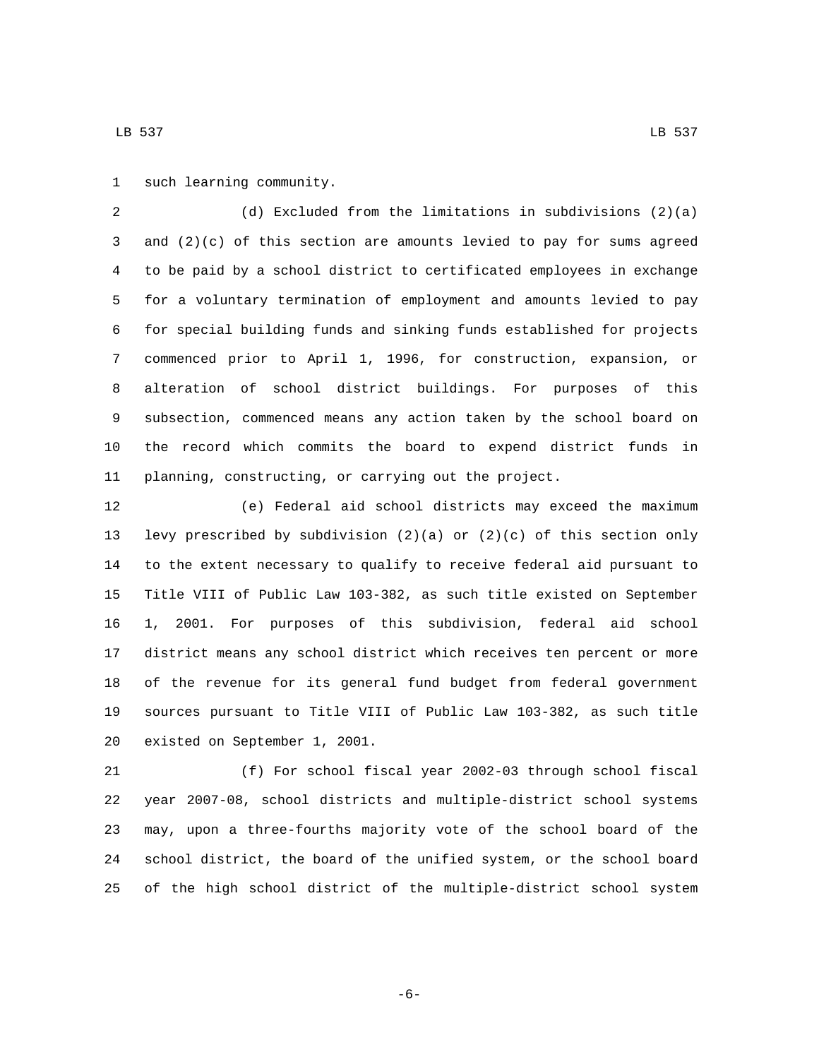1 such learning community.

 (d) Excluded from the limitations in subdivisions (2)(a) and (2)(c) of this section are amounts levied to pay for sums agreed to be paid by a school district to certificated employees in exchange for a voluntary termination of employment and amounts levied to pay for special building funds and sinking funds established for projects commenced prior to April 1, 1996, for construction, expansion, or alteration of school district buildings. For purposes of this subsection, commenced means any action taken by the school board on the record which commits the board to expend district funds in planning, constructing, or carrying out the project.

 (e) Federal aid school districts may exceed the maximum levy prescribed by subdivision (2)(a) or (2)(c) of this section only to the extent necessary to qualify to receive federal aid pursuant to Title VIII of Public Law 103-382, as such title existed on September 1, 2001. For purposes of this subdivision, federal aid school district means any school district which receives ten percent or more of the revenue for its general fund budget from federal government sources pursuant to Title VIII of Public Law 103-382, as such title 20 existed on September 1, 2001.

 (f) For school fiscal year 2002-03 through school fiscal year 2007-08, school districts and multiple-district school systems may, upon a three-fourths majority vote of the school board of the school district, the board of the unified system, or the school board of the high school district of the multiple-district school system

LB 537 LB 537

-6-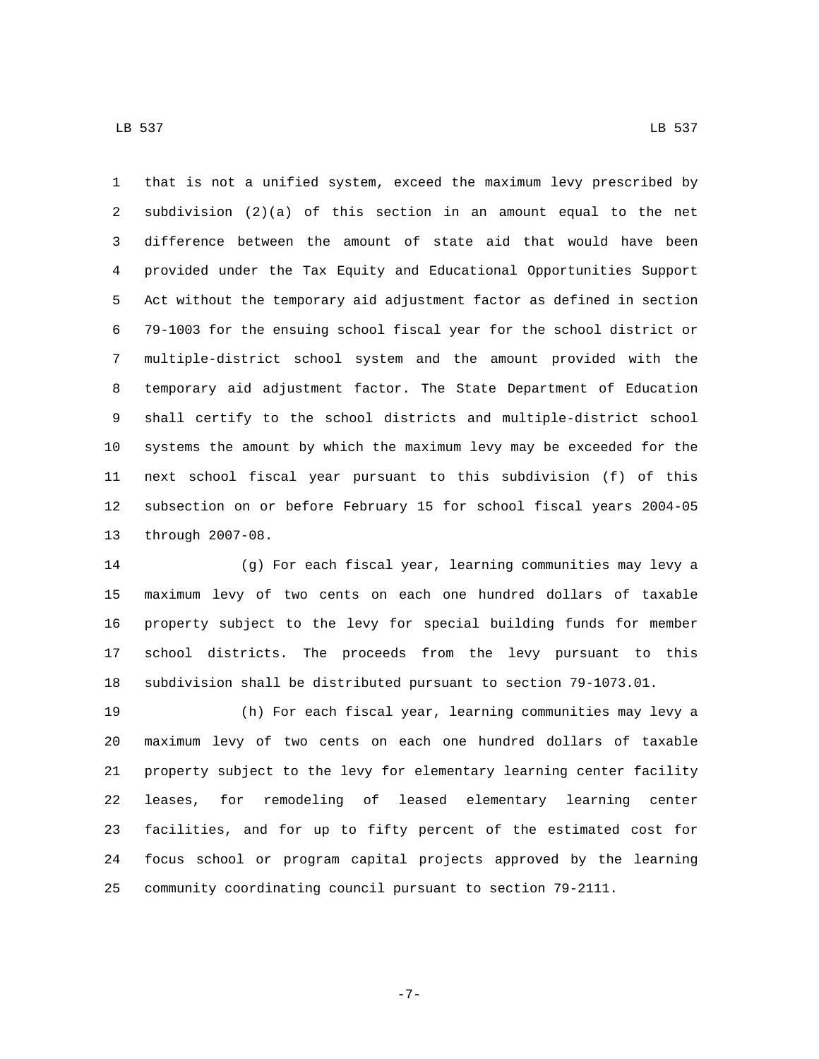that is not a unified system, exceed the maximum levy prescribed by subdivision (2)(a) of this section in an amount equal to the net difference between the amount of state aid that would have been provided under the Tax Equity and Educational Opportunities Support Act without the temporary aid adjustment factor as defined in section 79-1003 for the ensuing school fiscal year for the school district or multiple-district school system and the amount provided with the temporary aid adjustment factor. The State Department of Education shall certify to the school districts and multiple-district school systems the amount by which the maximum levy may be exceeded for the next school fiscal year pursuant to this subdivision (f) of this subsection on or before February 15 for school fiscal years 2004-05 13 through 2007-08.

 (g) For each fiscal year, learning communities may levy a maximum levy of two cents on each one hundred dollars of taxable property subject to the levy for special building funds for member school districts. The proceeds from the levy pursuant to this subdivision shall be distributed pursuant to section 79-1073.01.

 (h) For each fiscal year, learning communities may levy a maximum levy of two cents on each one hundred dollars of taxable property subject to the levy for elementary learning center facility leases, for remodeling of leased elementary learning center facilities, and for up to fifty percent of the estimated cost for focus school or program capital projects approved by the learning community coordinating council pursuant to section 79-2111.

LB 537 LB 537

-7-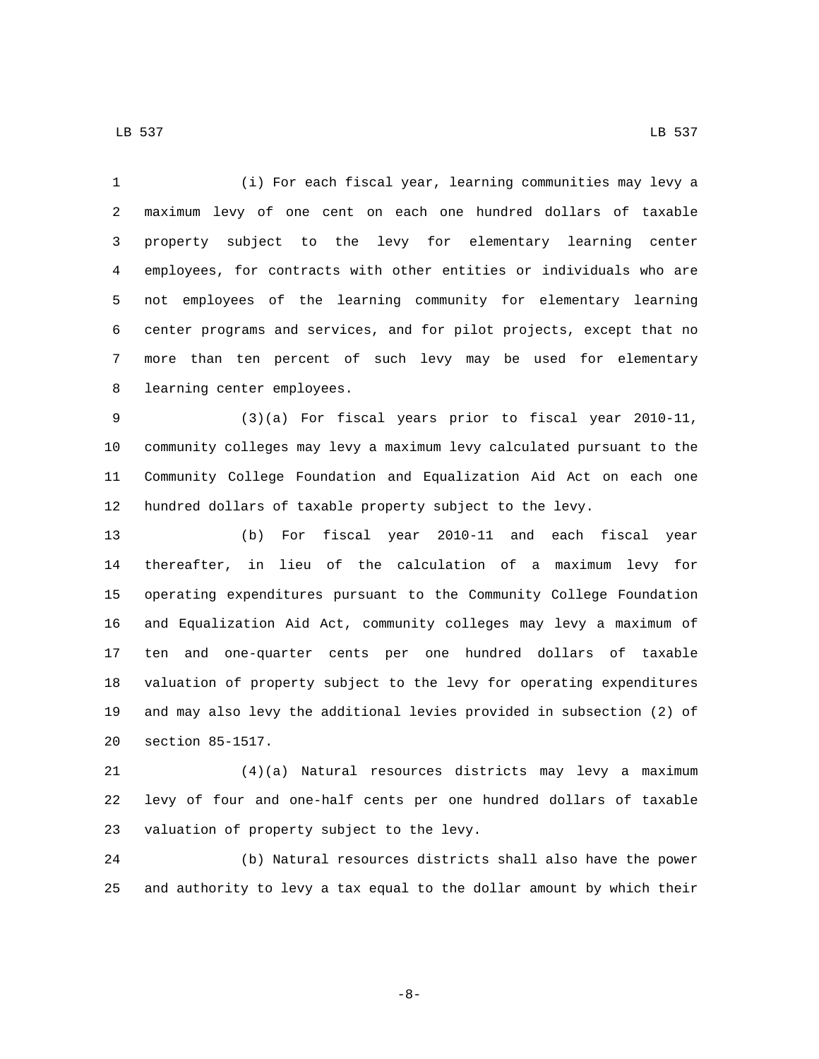(i) For each fiscal year, learning communities may levy a maximum levy of one cent on each one hundred dollars of taxable property subject to the levy for elementary learning center employees, for contracts with other entities or individuals who are not employees of the learning community for elementary learning center programs and services, and for pilot projects, except that no more than ten percent of such levy may be used for elementary 8 learning center employees.

 (3)(a) For fiscal years prior to fiscal year 2010-11, community colleges may levy a maximum levy calculated pursuant to the Community College Foundation and Equalization Aid Act on each one hundred dollars of taxable property subject to the levy.

 (b) For fiscal year 2010-11 and each fiscal year thereafter, in lieu of the calculation of a maximum levy for operating expenditures pursuant to the Community College Foundation and Equalization Aid Act, community colleges may levy a maximum of ten and one-quarter cents per one hundred dollars of taxable valuation of property subject to the levy for operating expenditures and may also levy the additional levies provided in subsection (2) of 20 section 85-1517.

 (4)(a) Natural resources districts may levy a maximum levy of four and one-half cents per one hundred dollars of taxable 23 valuation of property subject to the levy.

 (b) Natural resources districts shall also have the power and authority to levy a tax equal to the dollar amount by which their

-8-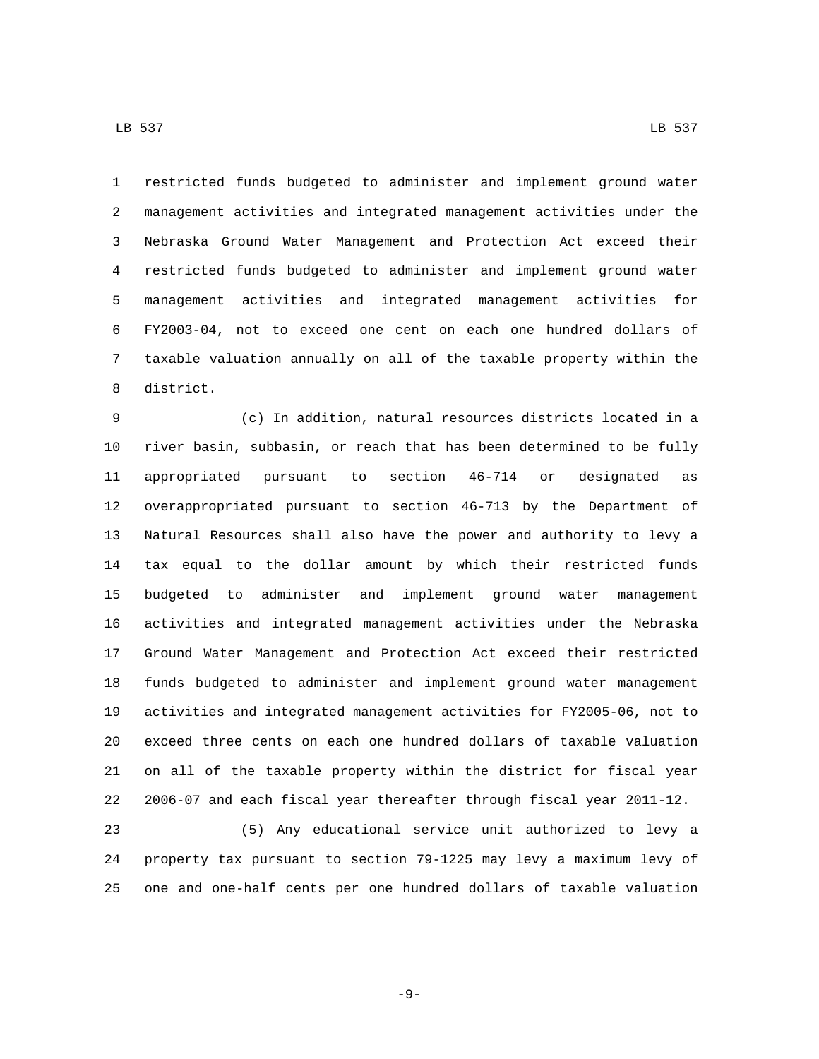restricted funds budgeted to administer and implement ground water management activities and integrated management activities under the Nebraska Ground Water Management and Protection Act exceed their

 restricted funds budgeted to administer and implement ground water management activities and integrated management activities for FY2003-04, not to exceed one cent on each one hundred dollars of taxable valuation annually on all of the taxable property within the 8 district.

 (c) In addition, natural resources districts located in a river basin, subbasin, or reach that has been determined to be fully appropriated pursuant to section 46-714 or designated as overappropriated pursuant to section 46-713 by the Department of Natural Resources shall also have the power and authority to levy a tax equal to the dollar amount by which their restricted funds budgeted to administer and implement ground water management activities and integrated management activities under the Nebraska Ground Water Management and Protection Act exceed their restricted funds budgeted to administer and implement ground water management activities and integrated management activities for FY2005-06, not to exceed three cents on each one hundred dollars of taxable valuation on all of the taxable property within the district for fiscal year 2006-07 and each fiscal year thereafter through fiscal year 2011-12.

 (5) Any educational service unit authorized to levy a property tax pursuant to section 79-1225 may levy a maximum levy of one and one-half cents per one hundred dollars of taxable valuation

LB 537 LB 537

-9-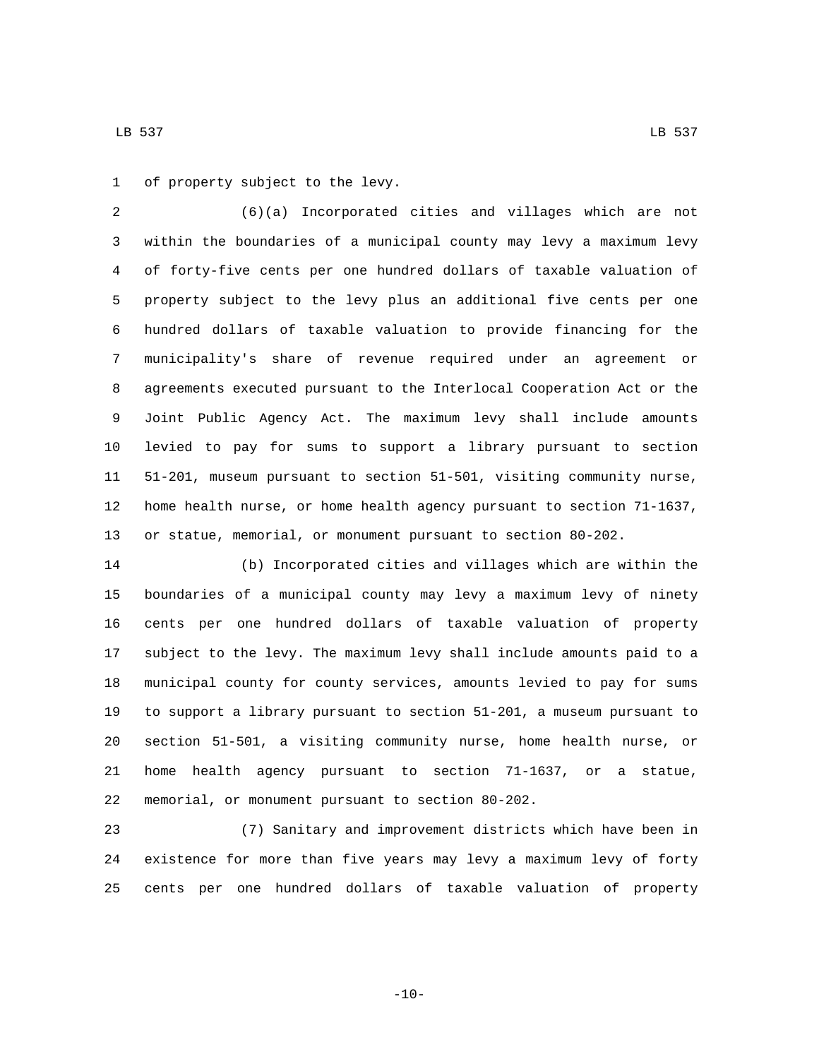1 of property subject to the levy.

 (6)(a) Incorporated cities and villages which are not within the boundaries of a municipal county may levy a maximum levy of forty-five cents per one hundred dollars of taxable valuation of property subject to the levy plus an additional five cents per one hundred dollars of taxable valuation to provide financing for the municipality's share of revenue required under an agreement or agreements executed pursuant to the Interlocal Cooperation Act or the Joint Public Agency Act. The maximum levy shall include amounts levied to pay for sums to support a library pursuant to section 51-201, museum pursuant to section 51-501, visiting community nurse, home health nurse, or home health agency pursuant to section 71-1637, or statue, memorial, or monument pursuant to section 80-202.

 (b) Incorporated cities and villages which are within the boundaries of a municipal county may levy a maximum levy of ninety cents per one hundred dollars of taxable valuation of property subject to the levy. The maximum levy shall include amounts paid to a municipal county for county services, amounts levied to pay for sums to support a library pursuant to section 51-201, a museum pursuant to section 51-501, a visiting community nurse, home health nurse, or home health agency pursuant to section 71-1637, or a statue, 22 memorial, or monument pursuant to section 80-202.

 (7) Sanitary and improvement districts which have been in existence for more than five years may levy a maximum levy of forty cents per one hundred dollars of taxable valuation of property

 $-10-$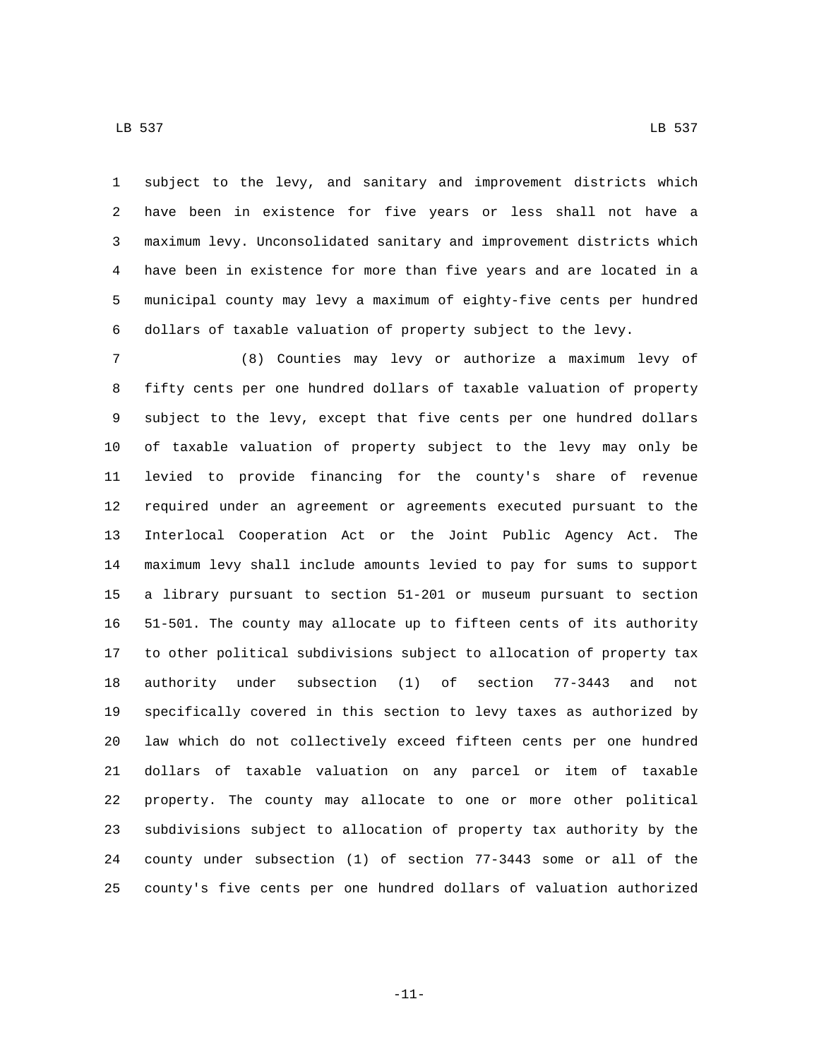LB 537 LB 537

 subject to the levy, and sanitary and improvement districts which have been in existence for five years or less shall not have a maximum levy. Unconsolidated sanitary and improvement districts which have been in existence for more than five years and are located in a municipal county may levy a maximum of eighty-five cents per hundred dollars of taxable valuation of property subject to the levy.

 (8) Counties may levy or authorize a maximum levy of fifty cents per one hundred dollars of taxable valuation of property subject to the levy, except that five cents per one hundred dollars of taxable valuation of property subject to the levy may only be levied to provide financing for the county's share of revenue required under an agreement or agreements executed pursuant to the Interlocal Cooperation Act or the Joint Public Agency Act. The maximum levy shall include amounts levied to pay for sums to support a library pursuant to section 51-201 or museum pursuant to section 51-501. The county may allocate up to fifteen cents of its authority to other political subdivisions subject to allocation of property tax authority under subsection (1) of section 77-3443 and not specifically covered in this section to levy taxes as authorized by law which do not collectively exceed fifteen cents per one hundred dollars of taxable valuation on any parcel or item of taxable property. The county may allocate to one or more other political subdivisions subject to allocation of property tax authority by the county under subsection (1) of section 77-3443 some or all of the county's five cents per one hundred dollars of valuation authorized

-11-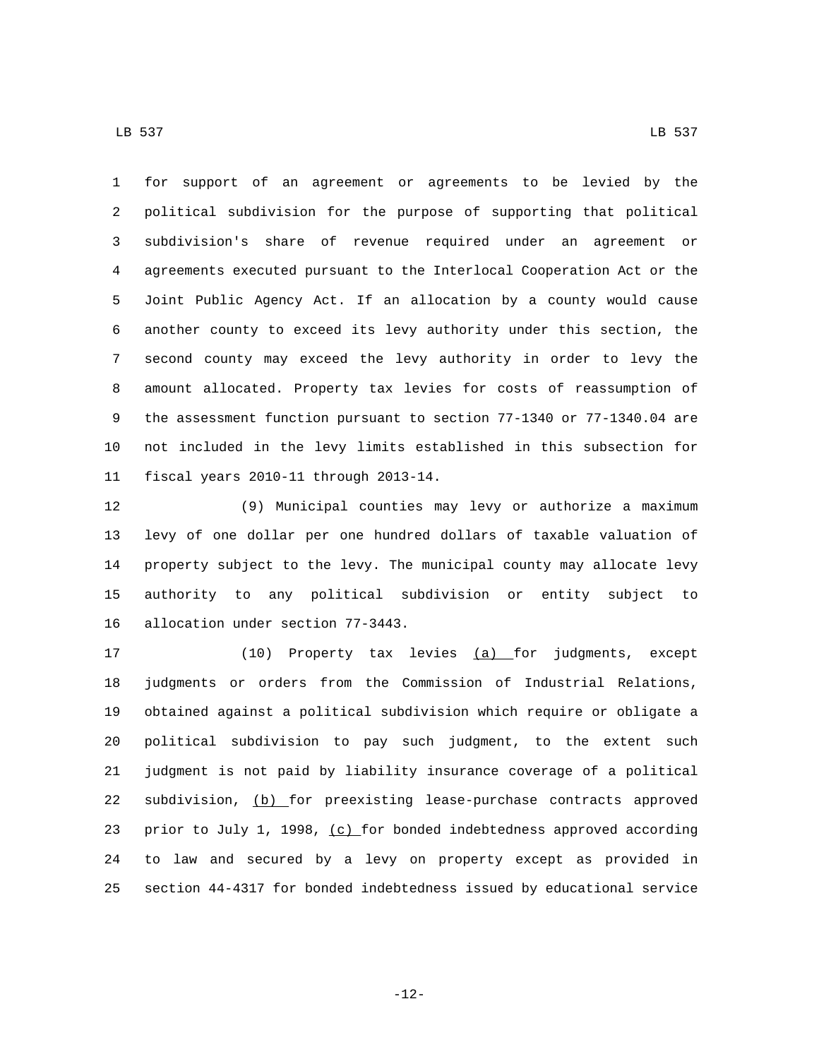LB 537 LB 537

 for support of an agreement or agreements to be levied by the political subdivision for the purpose of supporting that political subdivision's share of revenue required under an agreement or agreements executed pursuant to the Interlocal Cooperation Act or the Joint Public Agency Act. If an allocation by a county would cause another county to exceed its levy authority under this section, the second county may exceed the levy authority in order to levy the amount allocated. Property tax levies for costs of reassumption of the assessment function pursuant to section 77-1340 or 77-1340.04 are not included in the levy limits established in this subsection for 11 fiscal years 2010-11 through 2013-14.

 (9) Municipal counties may levy or authorize a maximum levy of one dollar per one hundred dollars of taxable valuation of property subject to the levy. The municipal county may allocate levy authority to any political subdivision or entity subject to 16 allocation under section 77-3443.

17 (10) Property tax levies (a) for judgments, except judgments or orders from the Commission of Industrial Relations, obtained against a political subdivision which require or obligate a political subdivision to pay such judgment, to the extent such judgment is not paid by liability insurance coverage of a political subdivision, (b) for preexisting lease-purchase contracts approved 23 prior to July 1, 1998, (c) for bonded indebtedness approved according to law and secured by a levy on property except as provided in section 44-4317 for bonded indebtedness issued by educational service

-12-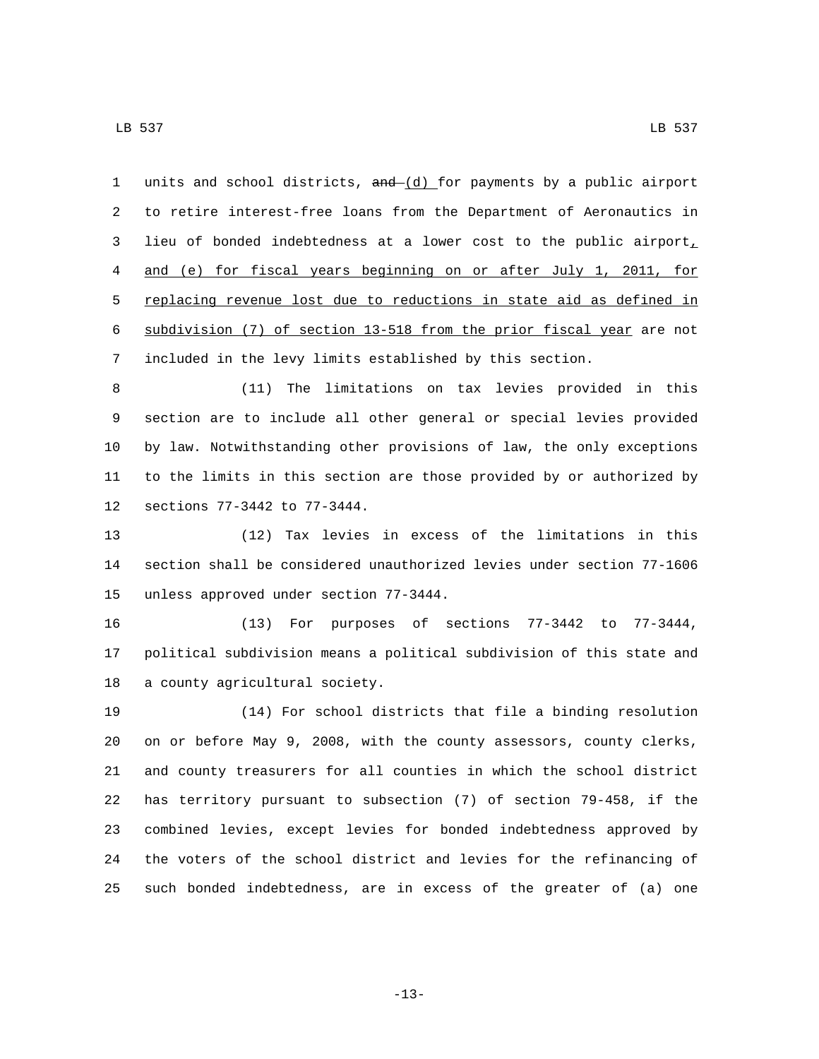1 units and school districts,  $and - (d)$  for payments by a public airport to retire interest-free loans from the Department of Aeronautics in lieu of bonded indebtedness at a lower cost to the public airport, and (e) for fiscal years beginning on or after July 1, 2011, for replacing revenue lost due to reductions in state aid as defined in subdivision (7) of section 13-518 from the prior fiscal year are not included in the levy limits established by this section.

 (11) The limitations on tax levies provided in this section are to include all other general or special levies provided by law. Notwithstanding other provisions of law, the only exceptions to the limits in this section are those provided by or authorized by 12 sections 77-3442 to 77-3444.

 (12) Tax levies in excess of the limitations in this section shall be considered unauthorized levies under section 77-1606 15 unless approved under section 77-3444.

 (13) For purposes of sections 77-3442 to 77-3444, political subdivision means a political subdivision of this state and 18 a county agricultural society.

 (14) For school districts that file a binding resolution on or before May 9, 2008, with the county assessors, county clerks, and county treasurers for all counties in which the school district has territory pursuant to subsection (7) of section 79-458, if the combined levies, except levies for bonded indebtedness approved by the voters of the school district and levies for the refinancing of such bonded indebtedness, are in excess of the greater of (a) one

-13-